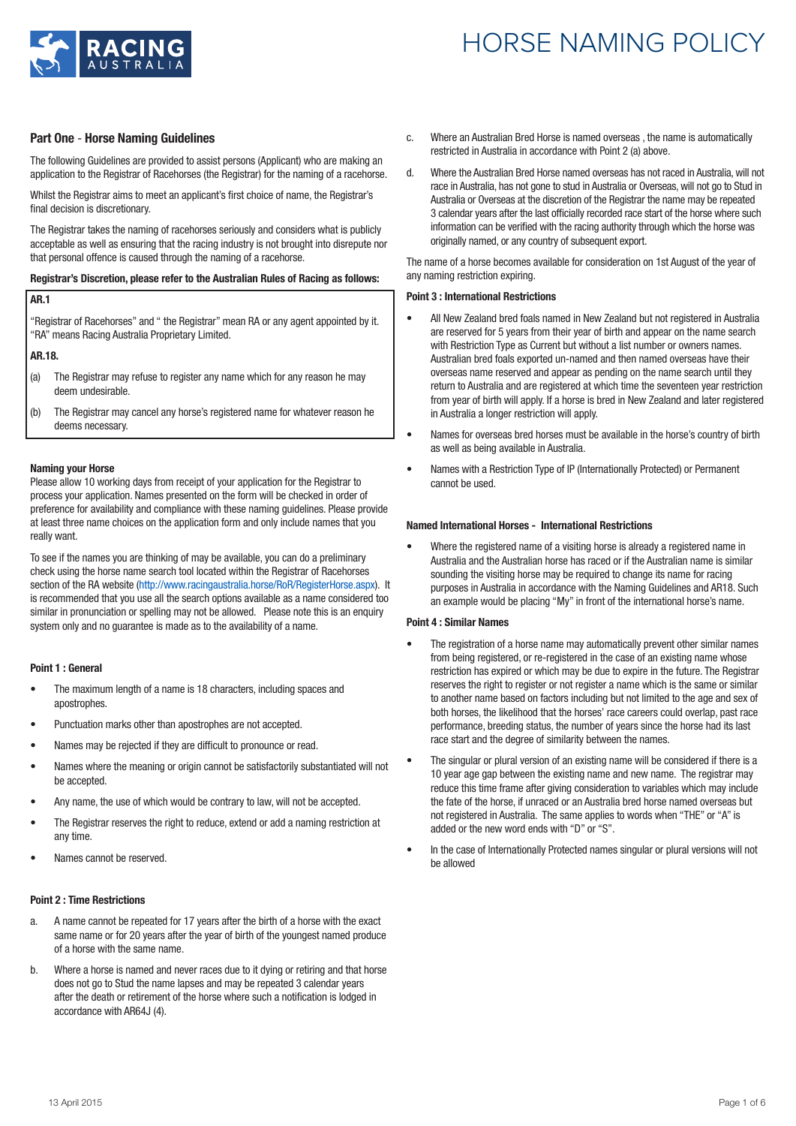

## **Part One** - **Horse Naming Guidelines**

The following Guidelines are provided to assist persons (Applicant) who are making an application to the Registrar of Racehorses (the Registrar) for the naming of a racehorse.

Whilst the Registrar aims to meet an applicant's first choice of name, the Registrar's final decision is discretionary.

The Registrar takes the naming of racehorses seriously and considers what is publicly acceptable as well as ensuring that the racing industry is not brought into disrepute nor that personal offence is caused through the naming of a racehorse.

### **Registrar's Discretion, please refer to the Australian Rules of Racing as follows:**

### **AR.1**

"Registrar of Racehorses" and " the Registrar" mean RA or any agent appointed by it. "RA" means Racing Australia Proprietary Limited.

**AR.18.**

- (a) The Registrar may refuse to register any name which for any reason he may deem undesirable.
- (b) The Registrar may cancel any horse's registered name for whatever reason he deems necessary.

### **Naming your Horse**

Please allow 10 working days from receipt of your application for the Registrar to process your application. Names presented on the form will be checked in order of preference for availability and compliance with these naming guidelines. Please provide at least three name choices on the application form and only include names that you really want.

To see if the names you are thinking of may be available, you can do a preliminary check using the horse name search tool located within the Registrar of Racehorses section of the RA website (http://www.racingaustralia.horse/RoR/RegisterHorse.aspx). It is recommended that you use all the search options available as a name considered too similar in pronunciation or spelling may not be allowed. Please note this is an enquiry system only and no guarantee is made as to the availability of a name.

### **Point 1 : General**

- The maximum length of a name is 18 characters, including spaces and apostrophes.
- Punctuation marks other than apostrophes are not accepted.
- Names may be rejected if they are difficult to pronounce or read.
- Names where the meaning or origin cannot be satisfactorily substantiated will not be accepted.
- Any name, the use of which would be contrary to law, will not be accepted.
- The Registrar reserves the right to reduce, extend or add a naming restriction at any time.
- Names cannot be reserved.

#### **Point 2 : Time Restrictions**

- a. A name cannot be repeated for 17 years after the birth of a horse with the exact same name or for 20 years after the year of birth of the youngest named produce of a horse with the same name.
- b. Where a horse is named and never races due to it dying or retiring and that horse does not go to Stud the name lapses and may be repeated 3 calendar years after the death or retirement of the horse where such a notification is lodged in accordance with AR64J (4).
- c. Where an Australian Bred Horse is named overseas , the name is automatically restricted in Australia in accordance with Point 2 (a) above.
- d. Where the Australian Bred Horse named overseas has not raced in Australia, will not race in Australia, has not gone to stud in Australia or Overseas, will not go to Stud in Australia or Overseas at the discretion of the Registrar the name may be repeated 3 calendar years after the last officially recorded race start of the horse where such information can be verified with the racing authority through which the horse was originally named, or any country of subsequent export.

The name of a horse becomes available for consideration on 1st August of the year of any naming restriction expiring.

#### **Point 3 : International Restrictions**

- All New Zealand bred foals named in New Zealand but not registered in Australia are reserved for 5 years from their year of birth and appear on the name search with Restriction Type as Current but without a list number or owners names. Australian bred foals exported un-named and then named overseas have their overseas name reserved and appear as pending on the name search until they return to Australia and are registered at which time the seventeen year restriction from year of birth will apply. If a horse is bred in New Zealand and later registered in Australia a longer restriction will apply.
- Names for overseas bred horses must be available in the horse's country of birth as well as being available in Australia.
- Names with a Restriction Type of IP (Internationally Protected) or Permanent cannot be used.

#### **Named International Horses - International Restrictions**

• Where the registered name of a visiting horse is already a registered name in Australia and the Australian horse has raced or if the Australian name is similar sounding the visiting horse may be required to change its name for racing purposes in Australia in accordance with the Naming Guidelines and AR18. Such an example would be placing "My" in front of the international horse's name.

### **Point 4 : Similar Names**

- The registration of a horse name may automatically prevent other similar names from being registered, or re-registered in the case of an existing name whose restriction has expired or which may be due to expire in the future. The Registrar reserves the right to register or not register a name which is the same or similar to another name based on factors including but not limited to the age and sex of both horses, the likelihood that the horses' race careers could overlap, past race performance, breeding status, the number of years since the horse had its last race start and the degree of similarity between the names.
- The singular or plural version of an existing name will be considered if there is a 10 year age gap between the existing name and new name. The registrar may reduce this time frame after giving consideration to variables which may include the fate of the horse, if unraced or an Australia bred horse named overseas but not registered in Australia. The same applies to words when "THE" or "A" is added or the new word ends with "D" or "S".
- In the case of Internationally Protected names singular or plural versions will not be allowed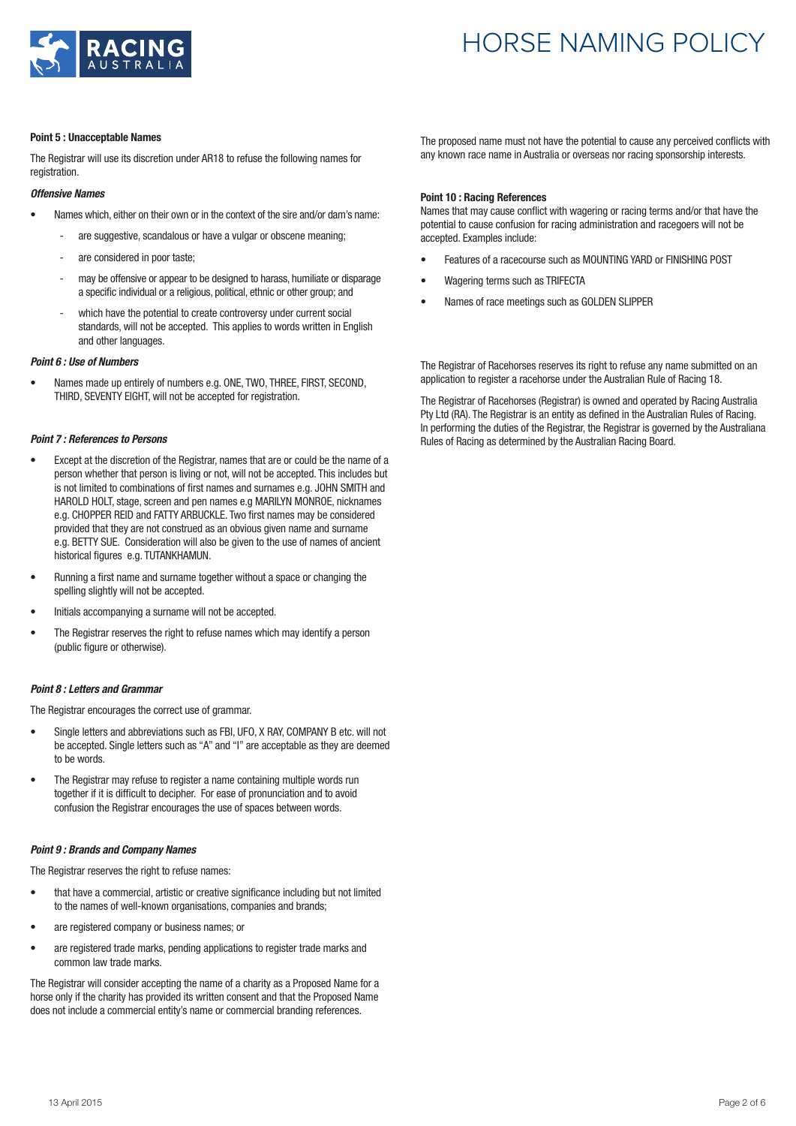

#### **Point 5 : Unacceptable Names**

The Registrar will use its discretion under AR18 to refuse the following names for registration.

### *Offensive Names*

- Names which, either on their own or in the context of the sire and/or dam's name:
	- are suggestive, scandalous or have a vulgar or obscene meaning;
	- are considered in poor taste;
	- may be offensive or appear to be designed to harass, humiliate or disparage a specific individual or a religious, political, ethnic or other group; and
	- which have the potential to create controversy under current social standards, will not be accepted. This applies to words written in English and other languages.

### *Point 6 : Use of Numbers*

• Names made up entirely of numbers e.g. ONE, TWO, THREE, FIRST, SECOND, THIRD, SEVENTY EIGHT, will not be accepted for registration.

### *Point 7 : References to Persons*

- Except at the discretion of the Registrar, names that are or could be the name of a person whether that person is living or not, will not be accepted. This includes but is not limited to combinations of first names and surnames e.g. JOHN SMITH and HAROLD HOLT, stage, screen and pen names e.g MARILYN MONROE, nicknames e.g. CHOPPER REID and FATTY ARBUCKLE. Two first names may be considered provided that they are not construed as an obvious given name and surname e.g. BETTY SUE. Consideration will also be given to the use of names of ancient historical figures e.g. TUTANKHAMUN.
- Running a first name and surname together without a space or changing the spelling slightly will not be accepted.
- Initials accompanying a surname will not be accepted.
- The Registrar reserves the right to refuse names which may identify a person (public figure or otherwise).

### *Point 8 : Letters and Grammar*

The Registrar encourages the correct use of grammar.

- Single letters and abbreviations such as FBI, UFO, X RAY, COMPANY B etc. will not be accepted. Single letters such as "A" and "I" are acceptable as they are deemed to be words.
- The Registrar may refuse to register a name containing multiple words run together if it is difficult to decipher. For ease of pronunciation and to avoid confusion the Registrar encourages the use of spaces between words.

### *Point 9 : Brands and Company Names*

The Registrar reserves the right to refuse names:

- that have a commercial, artistic or creative significance including but not limited to the names of well-known organisations, companies and brands;
- are registered company or business names; or
- are registered trade marks, pending applications to register trade marks and common law trade marks.

The Registrar will consider accepting the name of a charity as a Proposed Name for a horse only if the charity has provided its written consent and that the Proposed Name does not include a commercial entity's name or commercial branding references.

The proposed name must not have the potential to cause any perceived conflicts with any known race name in Australia or overseas nor racing sponsorship interests.

### **Point 10 : Racing References**

Names that may cause conflict with wagering or racing terms and/or that have the potential to cause confusion for racing administration and racegoers will not be accepted. Examples include:

- Features of a racecourse such as MOUNTING YARD or FINISHING POST
- Wagering terms such as TRIFECTA
- Names of race meetings such as GOLDEN SLIPPER

The Registrar of Racehorses reserves its right to refuse any name submitted on an application to register a racehorse under the Australian Rule of Racing 18.

The Registrar of Racehorses (Registrar) is owned and operated by Racing Australia Pty Ltd (RA). The Registrar is an entity as defined in the Australian Rules of Racing. In performing the duties of the Registrar, the Registrar is governed by the Australiana Rules of Racing as determined by the Australian Racing Board.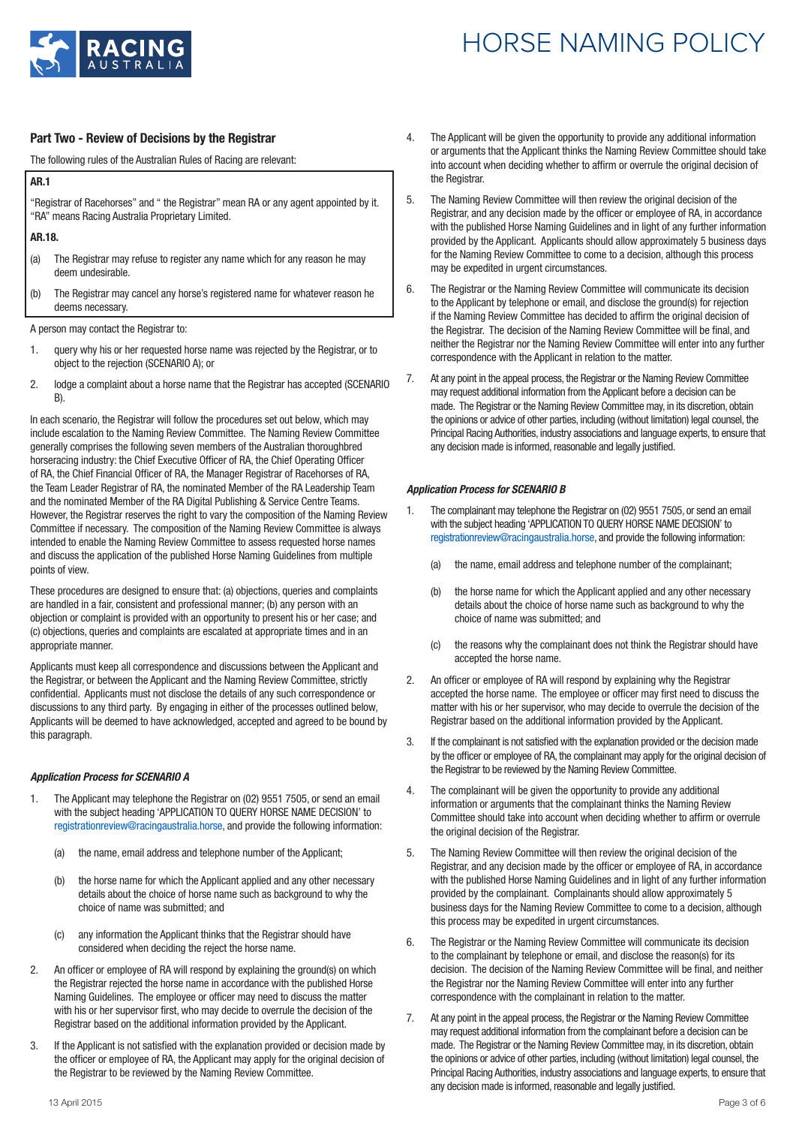

## **Part Two - Review of Decisions by the Registrar**

The following rules of the Australian Rules of Racing are relevant:

**AR.1**

"Registrar of Racehorses" and " the Registrar" mean RA or any agent appointed by it. "RA" means Racing Australia Proprietary Limited.

**AR.18.**

- (a) The Registrar may refuse to register any name which for any reason he may deem undesirable.
- (b) The Registrar may cancel any horse's registered name for whatever reason he deems necessary.

A person may contact the Registrar to:

- 1. query why his or her requested horse name was rejected by the Registrar, or to object to the rejection (SCENARIO A); or
- 2. lodge a complaint about a horse name that the Registrar has accepted (SCENARIO B).

In each scenario, the Registrar will follow the procedures set out below, which may include escalation to the Naming Review Committee. The Naming Review Committee generally comprises the following seven members of the Australian thoroughbred horseracing industry: the Chief Executive Officer of RA, the Chief Operating Officer of RA, the Chief Financial Officer of RA, the Manager Registrar of Racehorses of RA, the Team Leader Registrar of RA, the nominated Member of the RA Leadership Team and the nominated Member of the RA Digital Publishing & Service Centre Teams. However, the Registrar reserves the right to vary the composition of the Naming Review Committee if necessary. The composition of the Naming Review Committee is always intended to enable the Naming Review Committee to assess requested horse names and discuss the application of the published Horse Naming Guidelines from multiple points of view.

These procedures are designed to ensure that: (a) objections, queries and complaints are handled in a fair, consistent and professional manner; (b) any person with an objection or complaint is provided with an opportunity to present his or her case; and (c) objections, queries and complaints are escalated at appropriate times and in an appropriate manner.

Applicants must keep all correspondence and discussions between the Applicant and the Registrar, or between the Applicant and the Naming Review Committee, strictly confidential. Applicants must not disclose the details of any such correspondence or discussions to any third party. By engaging in either of the processes outlined below, Applicants will be deemed to have acknowledged, accepted and agreed to be bound by this paragraph.

### *Application Process for SCENARIO A*

- 1. The Applicant may telephone the Registrar on (02) 9551 7505, or send an email with the subject heading 'APPLICATION TO QUERY HORSE NAME DECISION' to registrationreview@racingaustralia.horse, and provide the following information:
	- (a) the name, email address and telephone number of the Applicant;
	- (b) the horse name for which the Applicant applied and any other necessary details about the choice of horse name such as background to why the choice of name was submitted; and
	- (c) any information the Applicant thinks that the Registrar should have considered when deciding the reject the horse name.
- 2. An officer or employee of RA will respond by explaining the ground(s) on which the Registrar rejected the horse name in accordance with the published Horse Naming Guidelines. The employee or officer may need to discuss the matter with his or her supervisor first, who may decide to overrule the decision of the Registrar based on the additional information provided by the Applicant.
- 3. If the Applicant is not satisfied with the explanation provided or decision made by the officer or employee of RA, the Applicant may apply for the original decision of the Registrar to be reviewed by the Naming Review Committee.
- 4. The Applicant will be given the opportunity to provide any additional information or arguments that the Applicant thinks the Naming Review Committee should take into account when deciding whether to affirm or overrule the original decision of the Registrar.
- 5. The Naming Review Committee will then review the original decision of the Registrar, and any decision made by the officer or employee of RA, in accordance with the published Horse Naming Guidelines and in light of any further information provided by the Applicant. Applicants should allow approximately 5 business days for the Naming Review Committee to come to a decision, although this process may be expedited in urgent circumstances.
- 6. The Registrar or the Naming Review Committee will communicate its decision to the Applicant by telephone or email, and disclose the ground(s) for rejection if the Naming Review Committee has decided to affirm the original decision of the Registrar. The decision of the Naming Review Committee will be final, and neither the Registrar nor the Naming Review Committee will enter into any further correspondence with the Applicant in relation to the matter.
- 7. At any point in the appeal process, the Registrar or the Naming Review Committee may request additional information from the Applicant before a decision can be made. The Registrar or the Naming Review Committee may, in its discretion, obtain the opinions or advice of other parties, including (without limitation) legal counsel, the Principal Racing Authorities, industry associations and language experts, to ensure that any decision made is informed, reasonable and legally justified.

### *Application Process for SCENARIO B*

- 1. The complainant may telephone the Registrar on (02) 9551 7505, or send an email with the subject heading 'APPLICATION TO QUERY HORSE NAME DECISION' to registrationreview@racingaustralia.horse, and provide the following information:
	- (a) the name, email address and telephone number of the complainant;
	- (b) the horse name for which the Applicant applied and any other necessary details about the choice of horse name such as background to why the choice of name was submitted; and
	- (c) the reasons why the complainant does not think the Registrar should have accepted the horse name.
- 2. An officer or employee of RA will respond by explaining why the Registrar accepted the horse name. The employee or officer may first need to discuss the matter with his or her supervisor, who may decide to overrule the decision of the Registrar based on the additional information provided by the Applicant.
- 3. If the complainant is not satisfied with the explanation provided or the decision made by the officer or employee of RA, the complainant may apply for the original decision of the Registrar to be reviewed by the Naming Review Committee.
- 4. The complainant will be given the opportunity to provide any additional information or arguments that the complainant thinks the Naming Review Committee should take into account when deciding whether to affirm or overrule the original decision of the Registrar.
- 5. The Naming Review Committee will then review the original decision of the Registrar, and any decision made by the officer or employee of RA, in accordance with the published Horse Naming Guidelines and in light of any further information provided by the complainant. Complainants should allow approximately 5 business days for the Naming Review Committee to come to a decision, although this process may be expedited in urgent circumstances.
- 6. The Registrar or the Naming Review Committee will communicate its decision to the complainant by telephone or email, and disclose the reason(s) for its decision. The decision of the Naming Review Committee will be final, and neither the Registrar nor the Naming Review Committee will enter into any further correspondence with the complainant in relation to the matter.
- 7. At any point in the appeal process, the Registrar or the Naming Review Committee may request additional information from the complainant before a decision can be made. The Registrar or the Naming Review Committee may, in its discretion, obtain the opinions or advice of other parties, including (without limitation) legal counsel, the Principal Racing Authorities, industry associations and language experts, to ensure that any decision made is informed, reasonable and legally justified.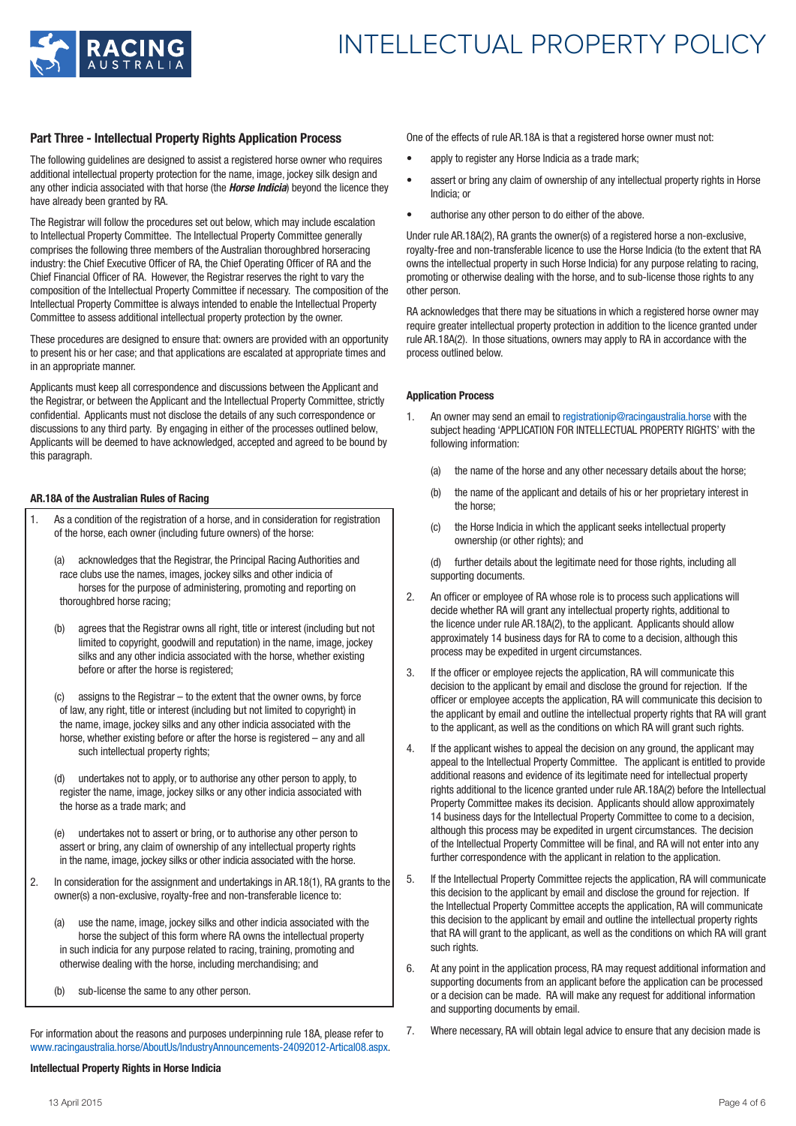

## **Part Three - Intellectual Property Rights Application Process**

The following guidelines are designed to assist a registered horse owner who requires additional intellectual property protection for the name, image, jockey silk design and any other indicia associated with that horse (the *Horse Indicia*) beyond the licence they have already been granted by RA.

The Registrar will follow the procedures set out below, which may include escalation to Intellectual Property Committee. The Intellectual Property Committee generally comprises the following three members of the Australian thoroughbred horseracing industry: the Chief Executive Officer of RA, the Chief Operating Officer of RA and the Chief Financial Officer of RA. However, the Registrar reserves the right to vary the composition of the Intellectual Property Committee if necessary. The composition of the Intellectual Property Committee is always intended to enable the Intellectual Property Committee to assess additional intellectual property protection by the owner.

These procedures are designed to ensure that: owners are provided with an opportunity to present his or her case; and that applications are escalated at appropriate times and in an appropriate manner.

Applicants must keep all correspondence and discussions between the Applicant and the Registrar, or between the Applicant and the Intellectual Property Committee, strictly confidential. Applicants must not disclose the details of any such correspondence or discussions to any third party. By engaging in either of the processes outlined below, Applicants will be deemed to have acknowledged, accepted and agreed to be bound by this paragraph.

### **AR.18A of the Australian Rules of Racing**

- 1. As a condition of the registration of a horse, and in consideration for registration of the horse, each owner (including future owners) of the horse:
	- (a) acknowledges that the Registrar, the Principal Racing Authorities and race clubs use the names, images, jockey silks and other indicia of horses for the purpose of administering, promoting and reporting on thoroughbred horse racing;
	- (b) agrees that the Registrar owns all right, title or interest (including but not limited to copyright, goodwill and reputation) in the name, image, jockey silks and any other indicia associated with the horse, whether existing before or after the horse is registered;
	- assigns to the Registrar  $-$  to the extent that the owner owns, by force of law, any right, title or interest (including but not limited to copyright) in the name, image, jockey silks and any other indicia associated with the horse, whether existing before or after the horse is registered – any and all such intellectual property rights:
	- (d) undertakes not to apply, or to authorise any other person to apply, to register the name, image, jockey silks or any other indicia associated with the horse as a trade mark; and

(e) undertakes not to assert or bring, or to authorise any other person to assert or bring, any claim of ownership of any intellectual property rights in the name, image, jockey silks or other indicia associated with the horse.

- 2. In consideration for the assignment and undertakings in AR.18(1), RA grants to the owner(s) a non-exclusive, royalty-free and non-transferable licence to:
	- (a) use the name, image, jockey silks and other indicia associated with the horse the subject of this form where RA owns the intellectual property in such indicia for any purpose related to racing, training, promoting and otherwise dealing with the horse, including merchandising; and
	- (b) sub-license the same to any other person.

For information about the reasons and purposes underpinning rule 18A, please refer to www.racingaustralia.horse/AboutUs/IndustryAnnouncements-24092012-Artical08.aspx.

## **Intellectual Property Rights in Horse Indicia**

One of the effects of rule AR.18A is that a registered horse owner must not:

- apply to register any Horse Indicia as a trade mark;
- assert or bring any claim of ownership of any intellectual property rights in Horse Indicia; or
- authorise any other person to do either of the above.

Under rule AR.18A(2), RA grants the owner(s) of a registered horse a non-exclusive, royalty-free and non-transferable licence to use the Horse Indicia (to the extent that RA owns the intellectual property in such Horse Indicia) for any purpose relating to racing, promoting or otherwise dealing with the horse, and to sub-license those rights to any other person.

RA acknowledges that there may be situations in which a registered horse owner may require greater intellectual property protection in addition to the licence granted under rule AR.18A(2). In those situations, owners may apply to RA in accordance with the process outlined below.

### **Application Process**

- 1. An owner may send an email to registrationip@racingaustralia.horse with the subject heading 'APPLICATION FOR INTELLECTUAL PROPERTY RIGHTS' with the following information:
	- (a) the name of the horse and any other necessary details about the horse;
	- (b) the name of the applicant and details of his or her proprietary interest in the horse;
	- (c) the Horse Indicia in which the applicant seeks intellectual property ownership (or other rights); and

(d) further details about the legitimate need for those rights, including all supporting documents.

- 2. An officer or employee of RA whose role is to process such applications will decide whether RA will grant any intellectual property rights, additional to the licence under rule AR.18A(2), to the applicant. Applicants should allow approximately 14 business days for RA to come to a decision, although this process may be expedited in urgent circumstances.
- 3. If the officer or employee rejects the application, RA will communicate this decision to the applicant by email and disclose the ground for rejection. If the officer or employee accepts the application, RA will communicate this decision to the applicant by email and outline the intellectual property rights that RA will grant to the applicant, as well as the conditions on which RA will grant such rights.
- 4. If the applicant wishes to appeal the decision on any ground, the applicant may appeal to the Intellectual Property Committee. The applicant is entitled to provide additional reasons and evidence of its legitimate need for intellectual property rights additional to the licence granted under rule AR.18A(2) before the Intellectual Property Committee makes its decision. Applicants should allow approximately 14 business days for the Intellectual Property Committee to come to a decision, although this process may be expedited in urgent circumstances. The decision of the Intellectual Property Committee will be final, and RA will not enter into any further correspondence with the applicant in relation to the application.
- 5. If the Intellectual Property Committee rejects the application, RA will communicate this decision to the applicant by email and disclose the ground for rejection. If the Intellectual Property Committee accepts the application, RA will communicate this decision to the applicant by email and outline the intellectual property rights that RA will grant to the applicant, as well as the conditions on which RA will grant such rights.
- 6. At any point in the application process, RA may request additional information and supporting documents from an applicant before the application can be processed or a decision can be made. RA will make any request for additional information and supporting documents by email.
- 7. Where necessary, RA will obtain legal advice to ensure that any decision made is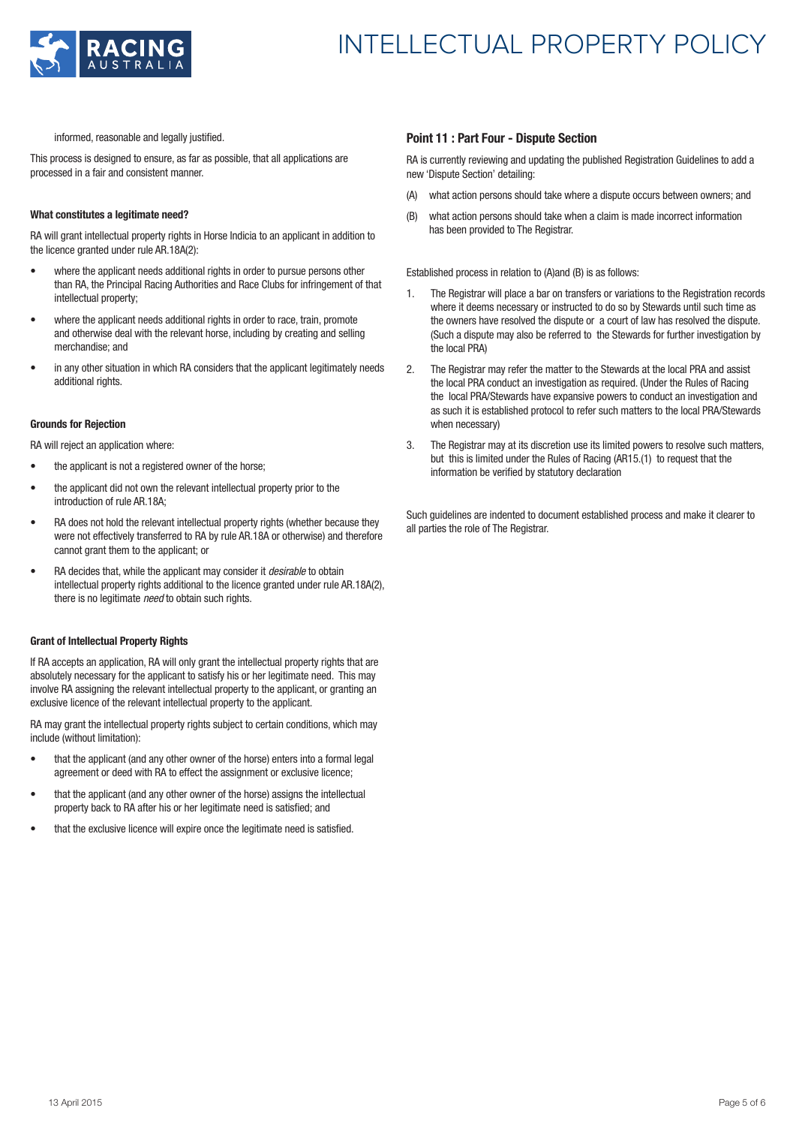

# INTELLECTUAL PROPERTY POLICY

informed, reasonable and legally justified.

This process is designed to ensure, as far as possible, that all applications are processed in a fair and consistent manner.

### **What constitutes a legitimate need?**

RA will grant intellectual property rights in Horse Indicia to an applicant in addition to the licence granted under rule AR.18A(2):

- where the applicant needs additional rights in order to pursue persons other than RA, the Principal Racing Authorities and Race Clubs for infringement of that intellectual property;
- where the applicant needs additional rights in order to race, train, promote and otherwise deal with the relevant horse, including by creating and selling merchandise; and
- in any other situation in which RA considers that the applicant legitimately needs additional rights.

### **Grounds for Rejection**

RA will reject an application where:

- the applicant is not a registered owner of the horse:
- the applicant did not own the relevant intellectual property prior to the introduction of rule AR.18A;
- RA does not hold the relevant intellectual property rights (whether because they were not effectively transferred to RA by rule AR.18A or otherwise) and therefore cannot grant them to the applicant; or
- RA decides that, while the applicant may consider it *desirable* to obtain intellectual property rights additional to the licence granted under rule AR.18A(2). there is no legitimate *need* to obtain such rights.

### **Grant of Intellectual Property Rights**

If RA accepts an application, RA will only grant the intellectual property rights that are absolutely necessary for the applicant to satisfy his or her legitimate need. This may involve RA assigning the relevant intellectual property to the applicant, or granting an exclusive licence of the relevant intellectual property to the applicant.

RA may grant the intellectual property rights subject to certain conditions, which may include (without limitation):

- that the applicant (and any other owner of the horse) enters into a formal legal agreement or deed with RA to effect the assignment or exclusive licence;
- that the applicant (and any other owner of the horse) assigns the intellectual property back to RA after his or her legitimate need is satisfied; and
- that the exclusive licence will expire once the legitimate need is satisfied.

### **Point 11 : Part Four - Dispute Section**

RA is currently reviewing and updating the published Registration Guidelines to add a new 'Dispute Section' detailing:

- (A) what action persons should take where a dispute occurs between owners; and
- (B) what action persons should take when a claim is made incorrect information has been provided to The Registrar.

Established process in relation to (A)and (B) is as follows:

- 1. The Registrar will place a bar on transfers or variations to the Registration records where it deems necessary or instructed to do so by Stewards until such time as the owners have resolved the dispute or a court of law has resolved the dispute. (Such a dispute may also be referred to the Stewards for further investigation by the local PRA)
- 2. The Registrar may refer the matter to the Stewards at the local PRA and assist the local PRA conduct an investigation as required. (Under the Rules of Racing the local PRA/Stewards have expansive powers to conduct an investigation and as such it is established protocol to refer such matters to the local PRA/Stewards when necessary)
- 3. The Registrar may at its discretion use its limited powers to resolve such matters, but this is limited under the Rules of Racing (AR15.(1) to request that the information be verified by statutory declaration

Such guidelines are indented to document established process and make it clearer to all parties the role of The Registrar.